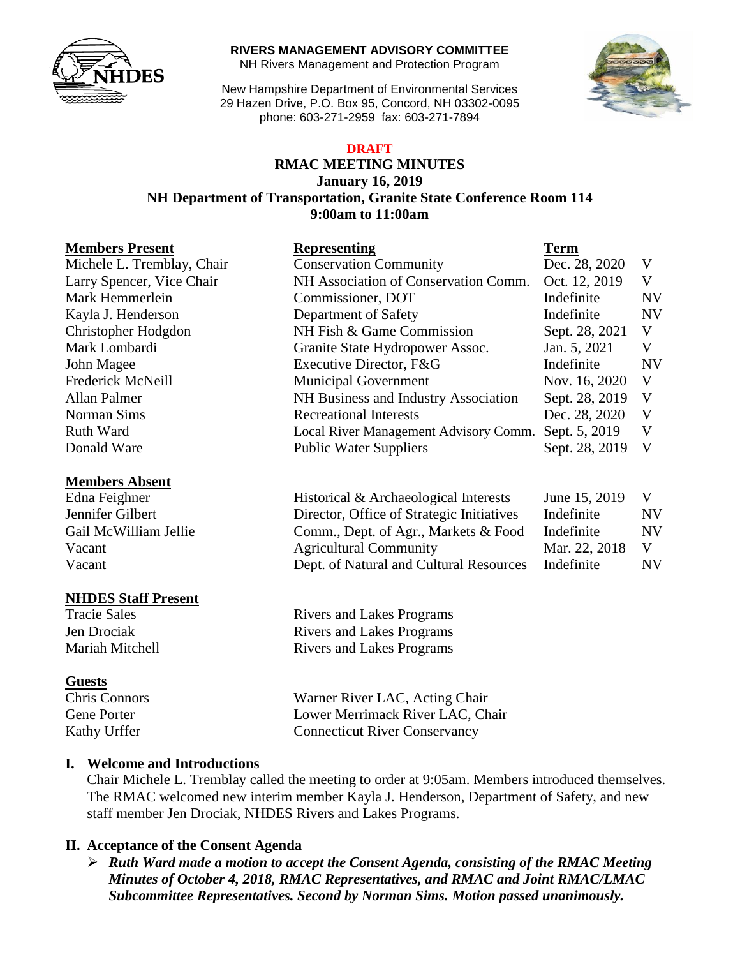

#### **RIVERS MANAGEMENT ADVISORY COMMITTEE**

NH Rivers Management and Protection Program

New Hampshire Department of Environmental Services 29 Hazen Drive, P.O. Box 95, Concord, NH 03302-0095 phone: 603-271-2959 fax: 603-271-7894



# **DRAFT**

## **RMAC MEETING MINUTES January 16, 2019**

## **NH Department of Transportation, Granite State Conference Room 114 9:00am to 11:00am**

#### **Members Absent**

#### **NHDES Staff Present**

#### **Guests**

| <b>Members Present</b>     | <b>Representing</b>                   | <b>Term</b>    |              |
|----------------------------|---------------------------------------|----------------|--------------|
| Michele L. Tremblay, Chair | <b>Conservation Community</b>         | Dec. 28, 2020  | V            |
| Larry Spencer, Vice Chair  | NH Association of Conservation Comm.  | Oct. 12, 2019  | V            |
| Mark Hemmerlein            | Commissioner, DOT                     | Indefinite     | <b>NV</b>    |
| Kayla J. Henderson         | Department of Safety                  | Indefinite     | <b>NV</b>    |
| Christopher Hodgdon        | NH Fish & Game Commission             | Sept. 28, 2021 | V            |
| Mark Lombardi              | Granite State Hydropower Assoc.       | Jan. 5, 2021   | V            |
| John Magee                 | Executive Director, F&G               | Indefinite     | <b>NV</b>    |
| Frederick McNeill          | <b>Municipal Government</b>           | Nov. 16, 2020  | V            |
| Allan Palmer               | NH Business and Industry Association  | Sept. 28, 2019 | $\mathbf{V}$ |
| Norman Sims                | <b>Recreational Interests</b>         | Dec. 28, 2020  | V            |
| Ruth Ward                  | Local River Management Advisory Comm. | Sept. 5, 2019  | V            |
| Donald Ware                | <b>Public Water Suppliers</b>         | Sept. 28, 2019 | $\mathbf{V}$ |

| Edna Feighner         | Historical & Archaeological Interests     | June 15, 2019 |    |
|-----------------------|-------------------------------------------|---------------|----|
| Jennifer Gilbert      | Director, Office of Strategic Initiatives | Indefinite    | NV |
| Gail McWilliam Jellie | Comm., Dept. of Agr., Markets & Food      | Indefinite    | NV |
| Vacant                | <b>Agricultural Community</b>             | Mar. 22, 2018 |    |
| Vacant                | Dept. of Natural and Cultural Resources   | Indefinite    | NV |

Tracie Sales **Rivers** and Lakes Programs Jen Drociak Rivers and Lakes Programs Mariah Mitchell **Rivers** and Lakes Programs

Chris Connors Warner River LAC, Acting Chair Gene Porter **Lack Community** Lower Merrimack River LAC, Chair Kathy Urffer Connecticut River Conservancy

## **I. Welcome and Introductions**

Chair Michele L. Tremblay called the meeting to order at 9:05am. Members introduced themselves. The RMAC welcomed new interim member Kayla J. Henderson, Department of Safety, and new staff member Jen Drociak, NHDES Rivers and Lakes Programs.

## **II. Acceptance of the Consent Agenda**

 *Ruth Ward made a motion to accept the Consent Agenda, consisting of the RMAC Meeting Minutes of October 4, 2018, RMAC Representatives, and RMAC and Joint RMAC/LMAC Subcommittee Representatives. Second by Norman Sims. Motion passed unanimously.*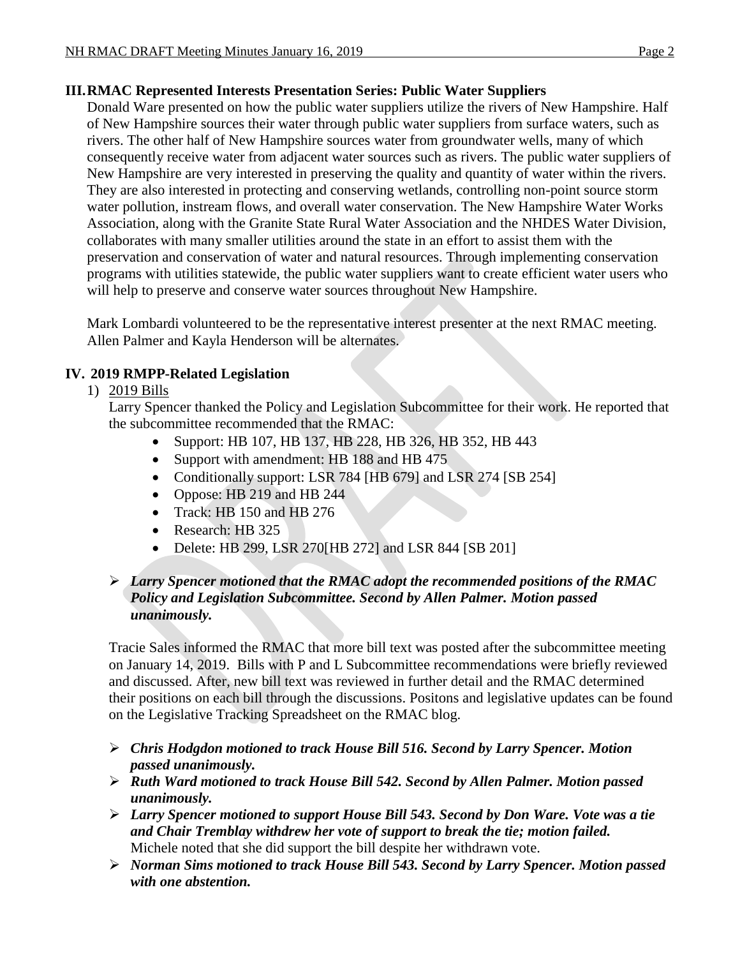# **III.RMAC Represented Interests Presentation Series: Public Water Suppliers**

Donald Ware presented on how the public water suppliers utilize the rivers of New Hampshire. Half of New Hampshire sources their water through public water suppliers from surface waters, such as rivers. The other half of New Hampshire sources water from groundwater wells, many of which consequently receive water from adjacent water sources such as rivers. The public water suppliers of New Hampshire are very interested in preserving the quality and quantity of water within the rivers. They are also interested in protecting and conserving wetlands, controlling non-point source storm water pollution, instream flows, and overall water conservation. The New Hampshire Water Works Association, along with the Granite State Rural Water Association and the NHDES Water Division, collaborates with many smaller utilities around the state in an effort to assist them with the preservation and conservation of water and natural resources. Through implementing conservation programs with utilities statewide, the public water suppliers want to create efficient water users who will help to preserve and conserve water sources throughout New Hampshire.

Mark Lombardi volunteered to be the representative interest presenter at the next RMAC meeting. Allen Palmer and Kayla Henderson will be alternates.

# **IV. 2019 RMPP-Related Legislation**

# 1) 2019 Bills

Larry Spencer thanked the Policy and Legislation Subcommittee for their work. He reported that the subcommittee recommended that the RMAC:

- Support: HB 107, HB 137, HB 228, HB 326, HB 352, HB 443
- Support with amendment: HB 188 and HB 475
- Conditionally support: LSR 784 [HB 679] and LSR 274 [SB 254]
- Oppose: HB 219 and HB 244
- Track: HB 150 and HB 276
- Research: HB 325
- Delete: HB 299, LSR 270[HB 272] and LSR 844 [SB 201]

# *Larry Spencer motioned that the RMAC adopt the recommended positions of the RMAC Policy and Legislation Subcommittee. Second by Allen Palmer. Motion passed unanimously.*

Tracie Sales informed the RMAC that more bill text was posted after the subcommittee meeting on January 14, 2019. Bills with P and L Subcommittee recommendations were briefly reviewed and discussed. After, new bill text was reviewed in further detail and the RMAC determined their positions on each bill through the discussions. Positons and legislative updates can be found on the Legislative Tracking Spreadsheet on the RMAC blog.

- *Chris Hodgdon motioned to track House Bill 516. Second by Larry Spencer. Motion passed unanimously.*
- *Ruth Ward motioned to track House Bill 542. Second by Allen Palmer. Motion passed unanimously.*
- *Larry Spencer motioned to support House Bill 543. Second by Don Ware. Vote was a tie and Chair Tremblay withdrew her vote of support to break the tie; motion failed.*  Michele noted that she did support the bill despite her withdrawn vote.
- *Norman Sims motioned to track House Bill 543. Second by Larry Spencer. Motion passed with one abstention.*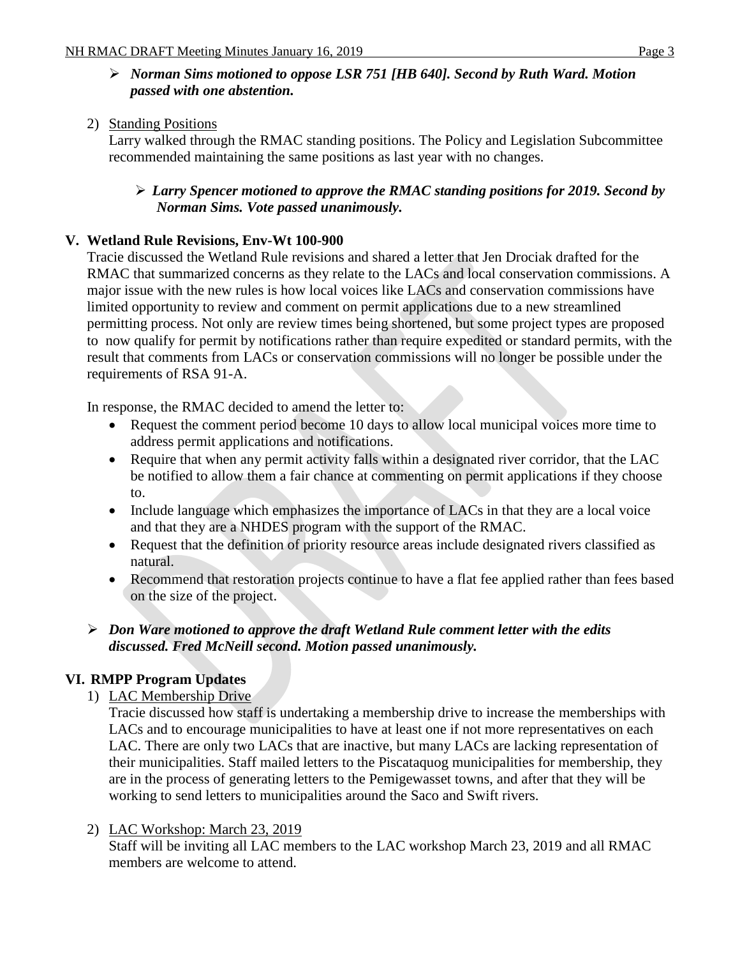# *Norman Sims motioned to oppose LSR 751 [HB 640]. Second by Ruth Ward. Motion passed with one abstention.*

# 2) Standing Positions

Larry walked through the RMAC standing positions. The Policy and Legislation Subcommittee recommended maintaining the same positions as last year with no changes.

# *Larry Spencer motioned to approve the RMAC standing positions for 2019. Second by Norman Sims. Vote passed unanimously.*

# **V. Wetland Rule Revisions, Env-Wt 100-900**

Tracie discussed the Wetland Rule revisions and shared a letter that Jen Drociak drafted for the RMAC that summarized concerns as they relate to the LACs and local conservation commissions. A major issue with the new rules is how local voices like LACs and conservation commissions have limited opportunity to review and comment on permit applications due to a new streamlined permitting process. Not only are review times being shortened, but some project types are proposed to now qualify for permit by notifications rather than require expedited or standard permits, with the result that comments from LACs or conservation commissions will no longer be possible under the requirements of RSA 91-A.

In response, the RMAC decided to amend the letter to:

- Request the comment period become 10 days to allow local municipal voices more time to address permit applications and notifications.
- Require that when any permit activity falls within a designated river corridor, that the LAC be notified to allow them a fair chance at commenting on permit applications if they choose to.
- Include language which emphasizes the importance of LACs in that they are a local voice and that they are a NHDES program with the support of the RMAC.
- Request that the definition of priority resource areas include designated rivers classified as natural.
- Recommend that restoration projects continue to have a flat fee applied rather than fees based on the size of the project.

# *Don Ware motioned to approve the draft Wetland Rule comment letter with the edits discussed. Fred McNeill second. Motion passed unanimously.*

# **VI. RMPP Program Updates**

1) LAC Membership Drive

Tracie discussed how staff is undertaking a membership drive to increase the memberships with LACs and to encourage municipalities to have at least one if not more representatives on each LAC. There are only two LACs that are inactive, but many LACs are lacking representation of their municipalities. Staff mailed letters to the Piscataquog municipalities for membership, they are in the process of generating letters to the Pemigewasset towns, and after that they will be working to send letters to municipalities around the Saco and Swift rivers.

2) LAC Workshop: March 23, 2019

Staff will be inviting all LAC members to the LAC workshop March 23, 2019 and all RMAC members are welcome to attend.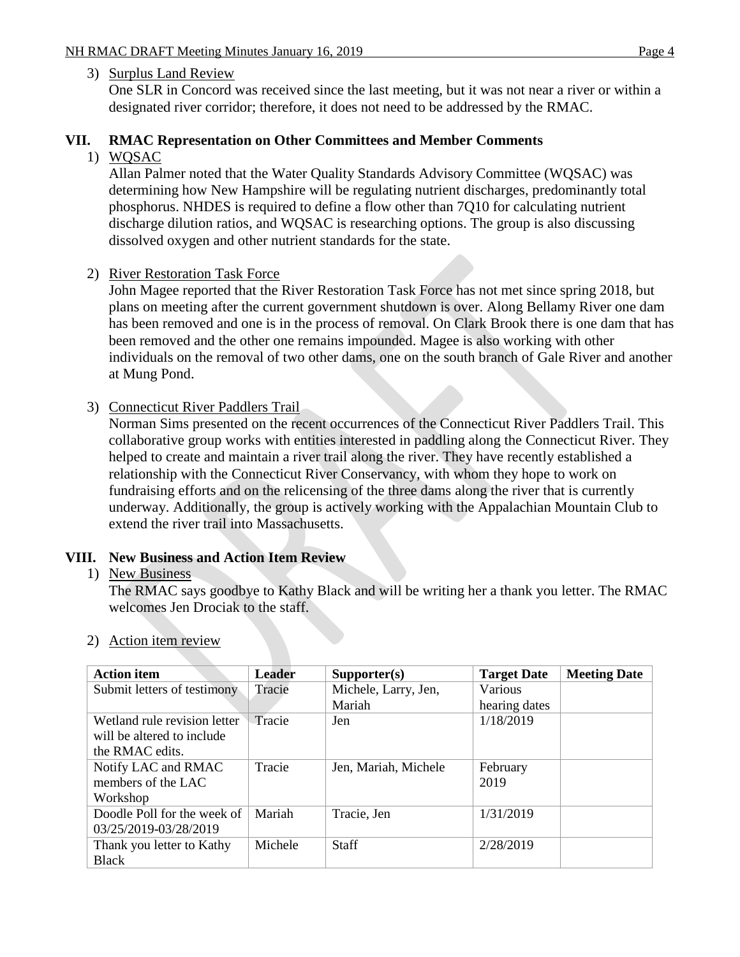## 3) Surplus Land Review

One SLR in Concord was received since the last meeting, but it was not near a river or within a designated river corridor; therefore, it does not need to be addressed by the RMAC.

## **VII. RMAC Representation on Other Committees and Member Comments**

1) WQSAC

Allan Palmer noted that the Water Quality Standards Advisory Committee (WQSAC) was determining how New Hampshire will be regulating nutrient discharges, predominantly total phosphorus. NHDES is required to define a flow other than 7Q10 for calculating nutrient discharge dilution ratios, and WQSAC is researching options. The group is also discussing dissolved oxygen and other nutrient standards for the state.

#### 2) River Restoration Task Force

John Magee reported that the River Restoration Task Force has not met since spring 2018, but plans on meeting after the current government shutdown is over. Along Bellamy River one dam has been removed and one is in the process of removal. On Clark Brook there is one dam that has been removed and the other one remains impounded. Magee is also working with other individuals on the removal of two other dams, one on the south branch of Gale River and another at Mung Pond.

## 3) Connecticut River Paddlers Trail

Norman Sims presented on the recent occurrences of the Connecticut River Paddlers Trail. This collaborative group works with entities interested in paddling along the Connecticut River. They helped to create and maintain a river trail along the river. They have recently established a relationship with the Connecticut River Conservancy, with whom they hope to work on fundraising efforts and on the relicensing of the three dams along the river that is currently underway. Additionally, the group is actively working with the Appalachian Mountain Club to extend the river trail into Massachusetts.

## **VIII. New Business and Action Item Review**

#### 1) New Business

The RMAC says goodbye to Kathy Black and will be writing her a thank you letter. The RMAC welcomes Jen Drociak to the staff.

| <b>Action item</b>           | <b>Leader</b> | Supporter(s)         | <b>Target Date</b> | <b>Meeting Date</b> |
|------------------------------|---------------|----------------------|--------------------|---------------------|
| Submit letters of testimony  | Tracie        | Michele, Larry, Jen, | Various            |                     |
|                              |               | Mariah               | hearing dates      |                     |
| Wetland rule revision letter | Tracie        | Jen                  | 1/18/2019          |                     |
| will be altered to include   |               |                      |                    |                     |
| the RMAC edits.              |               |                      |                    |                     |
| Notify LAC and RMAC          | Tracie        | Jen, Mariah, Michele | February           |                     |
| members of the LAC           |               |                      | 2019               |                     |
| Workshop                     |               |                      |                    |                     |
| Doodle Poll for the week of  | Mariah        | Tracie, Jen          | 1/31/2019          |                     |
| 03/25/2019-03/28/2019        |               |                      |                    |                     |
| Thank you letter to Kathy    | Michele       | <b>Staff</b>         | 2/28/2019          |                     |
| <b>Black</b>                 |               |                      |                    |                     |

#### 2) Action item review